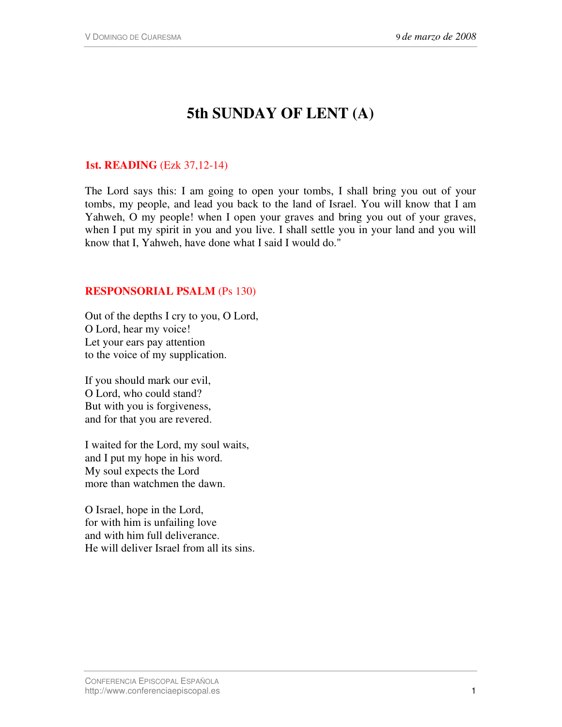# **5th SUNDAY OF LENT (A)**

## **1st. READING** (Ezk 37,12-14)

The Lord says this: I am going to open your tombs, I shall bring you out of your tombs, my people, and lead you back to the land of Israel. You will know that I am Yahweh, O my people! when I open your graves and bring you out of your graves, when I put my spirit in you and you live. I shall settle you in your land and you will know that I, Yahweh, have done what I said I would do."

### **RESPONSORIAL PSALM** (Ps 130)

Out of the depths I cry to you, O Lord, O Lord, hear my voice! Let your ears pay attention to the voice of my supplication.

If you should mark our evil, O Lord, who could stand? But with you is forgiveness, and for that you are revered.

I waited for the Lord, my soul waits, and I put my hope in his word. My soul expects the Lord more than watchmen the dawn.

O Israel, hope in the Lord, for with him is unfailing love and with him full deliverance. He will deliver Israel from all its sins.